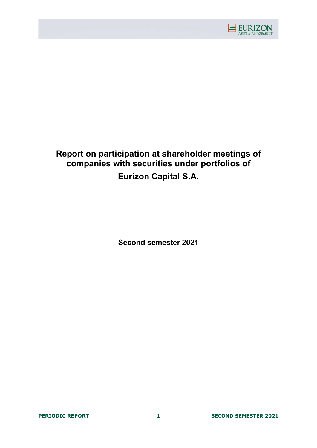

# Report on participation at shareholder meetings of companies with securities under portfolios of Eurizon Capital S.A.

Second semester 2021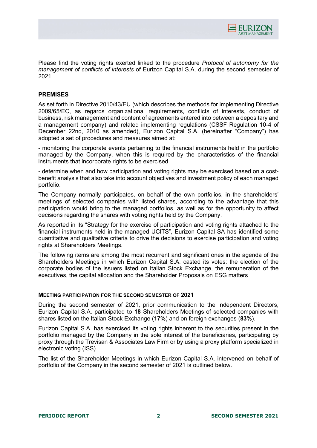

Please find the voting rights exerted linked to the procedure *Protocol of autonomy for the* management of conflicts of interests of Eurizon Capital S.A. during the second semester of 2021.

### PREMISES

As set forth in Directive 2010/43/EU (which describes the methods for implementing Directive 2009/65/EC, as regards organizational requirements, conflicts of interests, conduct of business, risk management and content of agreements entered into between a depositary and a management company) and related implementing regulations (CSSF Regulation 10-4 of December 22nd, 2010 as amended), Eurizon Capital S.A. (hereinafter "Company") has adopted a set of procedures and measures aimed at:

- monitoring the corporate events pertaining to the financial instruments held in the portfolio managed by the Company, when this is required by the characteristics of the financial instruments that incorporate rights to be exercised

- determine when and how participation and voting rights may be exercised based on a costbenefit analysis that also take into account objectives and investment policy of each managed portfolio.

The Company normally participates, on behalf of the own portfolios, in the shareholders' meetings of selected companies with listed shares, according to the advantage that this participation would bring to the managed portfolios, as well as for the opportunity to affect decisions regarding the shares with voting rights held by the Company.

As reported in its "Strategy for the exercise of participation and voting rights attached to the financial instruments held in the managed UCITS", Eurizon Capital SA has identified some quantitative and qualitative criteria to drive the decisions to exercise participation and voting rights at Shareholders Meetings.

The following items are among the most recurrent and significant ones in the agenda of the Shareholders Meetings in which Eurizon Capital S.A. casted its votes: the election of the corporate bodies of the issuers listed on Italian Stock Exchange, the remuneration of the executives, the capital allocation and the Shareholder Proposals on ESG matters

### MEETING PARTICIPATION FOR THE SECOND SEMESTER OF 2021

During the second semester of 2021, prior communication to the Independent Directors, Eurizon Capital S.A. participated to 18 Shareholders Meetings of selected companies with shares listed on the Italian Stock Exchange (17%) and on foreign exchanges (83%).

Eurizon Capital S.A. has exercised its voting rights inherent to the securities present in the portfolio managed by the Company in the sole interest of the beneficiaries, participating by proxy through the Trevisan & Associates Law Firm or by using a proxy platform specialized in electronic voting (ISS).

The list of the Shareholder Meetings in which Eurizon Capital S.A. intervened on behalf of portfolio of the Company in the second semester of 2021 is outlined below.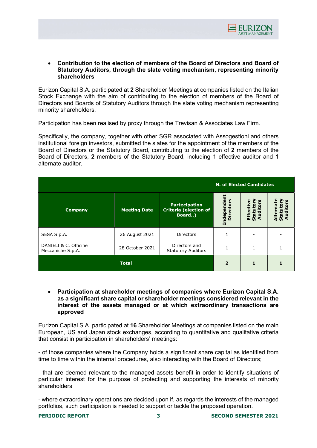

### Contribution to the election of members of the Board of Directors and Board of Statutory Auditors, through the slate voting mechanism, representing minority shareholders

Eurizon Capital S.A. participated at 2 Shareholder Meetings at companies listed on the Italian Stock Exchange with the aim of contributing to the election of members of the Board of Directors and Boards of Statutory Auditors through the slate voting mechanism representing minority shareholders.

Participation has been realised by proxy through the Trevisan & Associates Law Firm.

Specifically, the company, together with other SGR associated with Assogestioni and others institutional foreign investors, submitted the slates for the appointment of the members of the Board of Directors or the Statutory Board, contributing to the election of 2 members of the Board of Directors, 2 members of the Statutory Board, including 1 effective auditor and 1 alternate auditor.

|                                            |                     |                                                                |                                   | <b>N. of Elected Candidates</b>        |                                                        |
|--------------------------------------------|---------------------|----------------------------------------------------------------|-----------------------------------|----------------------------------------|--------------------------------------------------------|
| <b>Company</b>                             | <b>Meeting Date</b> | <b>Partecipation</b><br><b>Criteria (election of</b><br>Board) | ndepende<br><b>Directors</b><br>н | <b>S</b><br>o<br>Audit<br>Effe<br>Stat | ይ<br>ပ္ပ<br>rnai<br>ē<br>Alterna<br>Statuto<br>Auditon |
| SESA S.p.A.                                | 26 August 2021      | <b>Directors</b>                                               |                                   |                                        |                                                        |
| DANIELI & C. Officine<br>Meccaniche S.p.A. | 28 October 2021     | Directors and<br><b>Statutory Auditors</b>                     |                                   | 1                                      |                                                        |
|                                            | <b>Total</b>        |                                                                | $\overline{2}$                    |                                        |                                                        |

 Participation at shareholder meetings of companies where Eurizon Capital S.A. as a significant share capital or shareholder meetings considered relevant in the interest of the assets managed or at which extraordinary transactions are approved

Eurizon Capital S.A. participated at 16 Shareholder Meetings at companies listed on the main European, US and Japan stock exchanges, according to quantitative and qualitative criteria that consist in participation in shareholders' meetings:

- of those companies where the Company holds a significant share capital as identified from time to time within the internal procedures, also interacting with the Board of Directors;

- that are deemed relevant to the managed assets benefit in order to identify situations of particular interest for the purpose of protecting and supporting the interests of minority shareholders

- where extraordinary operations are decided upon if, as regards the interests of the managed portfolios, such participation is needed to support or tackle the proposed operation.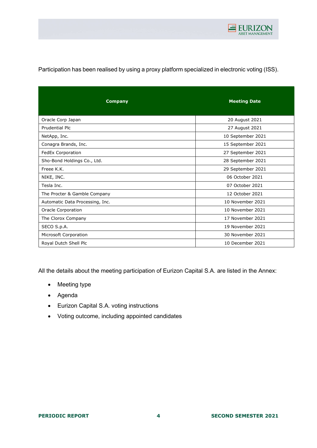

Participation has been realised by using a proxy platform specialized in electronic voting (ISS).

| <b>Company</b>                  | <b>Meeting Date</b> |
|---------------------------------|---------------------|
| Oracle Corp Japan               | 20 August 2021      |
| Prudential Plc                  | 27 August 2021      |
| NetApp, Inc.                    | 10 September 2021   |
| Conagra Brands, Inc.            | 15 September 2021   |
| FedEx Corporation               | 27 September 2021   |
| Sho-Bond Holdings Co., Ltd.     | 28 September 2021   |
| Freee K.K.                      | 29 September 2021   |
| NIKE, INC.                      | 06 October 2021     |
| Tesla Inc.                      | 07 October 2021     |
| The Procter & Gamble Company    | 12 October 2021     |
| Automatic Data Processing, Inc. | 10 November 2021    |
| Oracle Corporation              | 10 November 2021    |
| The Clorox Company              | 17 November 2021    |
| SECO S.p.A.                     | 19 November 2021    |
| Microsoft Corporation           | 30 November 2021    |
| Royal Dutch Shell Plc           | 10 December 2021    |

All the details about the meeting participation of Eurizon Capital S.A. are listed in the Annex:

- Meeting type
- Agenda
- Eurizon Capital S.A. voting instructions
- Voting outcome, including appointed candidates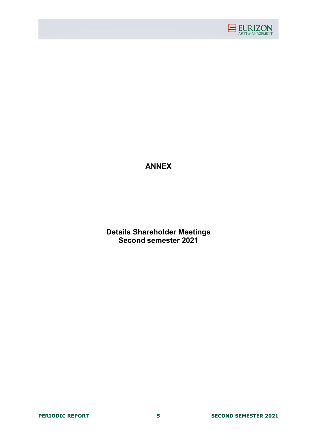

ANNEX

Details Shareholder Meetings Second semester 2021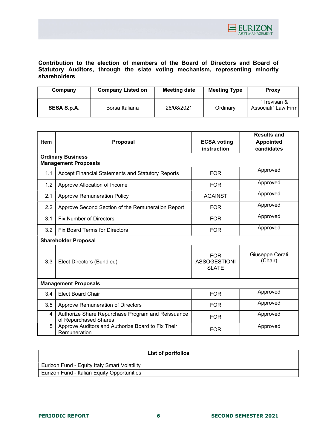

Contribution to the election of members of the Board of Directors and Board of Statutory Auditors, through the slate voting mechanism, representing minority shareholders

| Company            | <b>Company Listed on</b> | <b>Meeting date</b> | <b>Meeting Type</b> | <b>Proxy</b>                       |
|--------------------|--------------------------|---------------------|---------------------|------------------------------------|
| <b>SESA S.p.A.</b> | Borsa Italiana           | 26/08/2021          | Ordinary            | "Trevisan &<br>Associati" Law Firm |

|             |                                                                            |                                                   | <b>Results and</b>         |  |  |
|-------------|----------------------------------------------------------------------------|---------------------------------------------------|----------------------------|--|--|
| <b>Item</b> | Proposal                                                                   | <b>ECSA voting</b>                                | <b>Appointed</b>           |  |  |
|             |                                                                            | instruction                                       | candidates                 |  |  |
|             | <b>Ordinary Business</b><br><b>Management Proposals</b>                    |                                                   |                            |  |  |
| 1.1         | <b>Accept Financial Statements and Statutory Reports</b>                   | <b>FOR</b>                                        | Approved                   |  |  |
| 1.2         | Approve Allocation of Income                                               | <b>FOR</b>                                        | Approved                   |  |  |
| 2.1         | <b>Approve Remuneration Policy</b>                                         | <b>AGAINST</b>                                    | Approved                   |  |  |
| 2.2         | Approve Second Section of the Remuneration Report                          | <b>FOR</b>                                        | Approved                   |  |  |
| 3.1         | <b>Fix Number of Directors</b>                                             | <b>FOR</b>                                        | Approved                   |  |  |
| 3.2         | <b>Fix Board Terms for Directors</b>                                       | <b>FOR</b>                                        | Approved                   |  |  |
|             | <b>Shareholder Proposal</b>                                                |                                                   |                            |  |  |
| 3.3         | Elect Directors (Bundled)                                                  | <b>FOR</b><br><b>ASSOGESTIONI</b><br><b>SLATE</b> | Giuseppe Cerati<br>(Chair) |  |  |
|             | <b>Management Proposals</b>                                                |                                                   |                            |  |  |
| 3.4         | <b>Elect Board Chair</b>                                                   | <b>FOR</b>                                        | Approved                   |  |  |
| 3.5         | Approve Remuneration of Directors                                          | <b>FOR</b>                                        | Approved                   |  |  |
| 4           | Authorize Share Repurchase Program and Reissuance<br>of Repurchased Shares | <b>FOR</b>                                        | Approved                   |  |  |
| 5           | Approve Auditors and Authorize Board to Fix Their<br>Remuneration          | <b>FOR</b>                                        | Approved                   |  |  |

|                                              | List of portfolios |
|----------------------------------------------|--------------------|
| Eurizon Fund - Equity Italy Smart Volatility |                    |
| Eurizon Fund - Italian Equity Opportunities  |                    |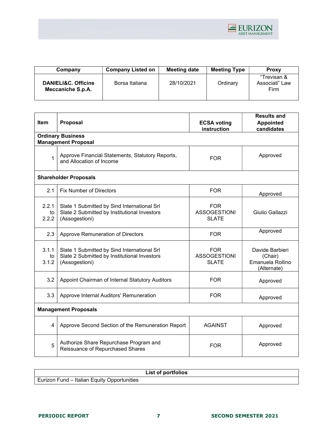

| Company                                  | <b>Company Listed on</b> | <b>Meeting date</b> | <b>Meeting Type</b> | <b>Proxy</b>                          |
|------------------------------------------|--------------------------|---------------------|---------------------|---------------------------------------|
| DANIELI&C. Officine<br>Meccaniche S.p.A. | Borsa Italiana           | 28/10/2021          | Ordinary            | "Trevisan &<br>Associati" Law<br>Firm |

| <b>Item</b>                                            | Proposal                                                                                                      | <b>ECSA voting</b><br>instruction                 | <b>Results and</b><br><b>Appointed</b><br>candidates          |  |
|--------------------------------------------------------|---------------------------------------------------------------------------------------------------------------|---------------------------------------------------|---------------------------------------------------------------|--|
| <b>Ordinary Business</b><br><b>Management Proposal</b> |                                                                                                               |                                                   |                                                               |  |
| $\mathbf{1}$                                           | Approve Financial Statements, Statutory Reports,<br>and Allocation of Income                                  | <b>FOR</b>                                        | Approved                                                      |  |
|                                                        | <b>Shareholder Proposals</b>                                                                                  |                                                   |                                                               |  |
| 2.1                                                    | <b>Fix Number of Directors</b>                                                                                | <b>FOR</b>                                        | Approved                                                      |  |
| 2.2.1<br>to<br>2.2.2                                   | Slate 1 Submitted by Sind International Srl<br>Slate 2 Submitted by Institutional Investors<br>(Assogestioni) | <b>FOR</b><br><b>ASSOGESTIONI</b><br><b>SLATE</b> | Giulio Gallazzi                                               |  |
| 2.3                                                    | Approve Remuneration of Directors                                                                             | <b>FOR</b>                                        | Approved                                                      |  |
| 3.1.1<br>to<br>3.1.2                                   | Slate 1 Submitted by Sind International Srl<br>Slate 2 Submitted by Institutional Investors<br>(Assogestioni) | <b>FOR</b><br><b>ASSOGESTIONI</b><br><b>SLATE</b> | Davide Barbieri<br>(Chair)<br>Emanuela Rollino<br>(Alternate) |  |
| 3.2                                                    | Appoint Chairman of Internal Statutory Auditors                                                               | <b>FOR</b>                                        | Approved                                                      |  |
| 3.3                                                    | Approve Internal Auditors' Remuneration                                                                       | <b>FOR</b>                                        | Approved                                                      |  |
| <b>Management Proposals</b>                            |                                                                                                               |                                                   |                                                               |  |
| 4                                                      | Approve Second Section of the Remuneration Report                                                             | <b>AGAINST</b>                                    | Approved                                                      |  |
| 5                                                      | Authorize Share Repurchase Program and<br>Reissuance of Repurchased Shares                                    | <b>FOR</b>                                        | Approved                                                      |  |

|                                                    | List of portfolios |
|----------------------------------------------------|--------------------|
| <b>Eurizon Fund - Italian Equity Opportunities</b> |                    |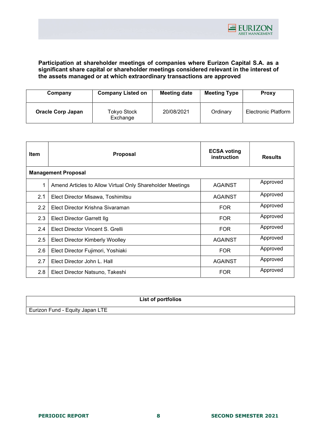

## Participation at shareholder meetings of companies where Eurizon Capital S.A. as a significant share capital or shareholder meetings considered relevant in the interest of the assets managed or at which extraordinary transactions are approved

| Company                  | <b>Company Listed on</b> | <b>Meeting date</b> | <b>Meeting Type</b> | Proxy                      |
|--------------------------|--------------------------|---------------------|---------------------|----------------------------|
| <b>Oracle Corp Japan</b> | Tokyo Stock<br>Exchange  | 20/08/2021          | Ordinary            | <b>Electronic Platform</b> |

| <b>Item</b>                | <b>Proposal</b>                                           | <b>ECSA voting</b><br>instruction | <b>Results</b> |
|----------------------------|-----------------------------------------------------------|-----------------------------------|----------------|
| <b>Management Proposal</b> |                                                           |                                   |                |
| 1                          | Amend Articles to Allow Virtual Only Shareholder Meetings | <b>AGAINST</b>                    | Approved       |
| 2.1                        | Elect Director Misawa, Toshimitsu                         | <b>AGAINST</b>                    | Approved       |
| 2.2                        | Elect Director Krishna Sivaraman                          | <b>FOR</b>                        | Approved       |
| 2.3                        | <b>Elect Director Garrett Ilg</b>                         | <b>FOR</b>                        | Approved       |
| 2.4                        | Elect Director Vincent S. Grelli                          | <b>FOR</b>                        | Approved       |
| 2.5                        | <b>Elect Director Kimberly Woolley</b>                    | <b>AGAINST</b>                    | Approved       |
| 2.6                        | Elect Director Fujimori, Yoshiaki                         | <b>FOR</b>                        | Approved       |
| 2.7                        | Elect Director John L. Hall                               | <b>AGAINST</b>                    | Approved       |
| 2.8                        | Elect Director Natsuno, Takeshi                           | <b>FOR</b>                        | Approved       |

|                                 | List of portfolios |
|---------------------------------|--------------------|
| Eurizon Fund - Equity Japan LTE |                    |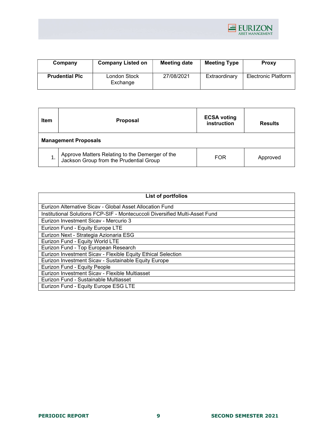

| Company               | <b>Company Listed on</b> | Meeting date | <b>Meeting Type</b> | <b>Proxy</b>               |
|-----------------------|--------------------------|--------------|---------------------|----------------------------|
| <b>Prudential PIC</b> | London Stock<br>Exchange | 27/08/2021   | Extraordinary       | <b>Electronic Platform</b> |

| <b>Item</b><br><b>Proposal</b> |                                                                                            | <b>ECSA voting</b><br>instruction | <b>Results</b> |  |
|--------------------------------|--------------------------------------------------------------------------------------------|-----------------------------------|----------------|--|
| <b>Management Proposals</b>    |                                                                                            |                                   |                |  |
|                                | Approve Matters Relating to the Demerger of the<br>Jackson Group from the Prudential Group | <b>FOR</b>                        | Approved       |  |

| List of portfolios                                                          |
|-----------------------------------------------------------------------------|
| Eurizon Alternative Sicav - Global Asset Allocation Fund                    |
| Institutional Solutions FCP-SIF - Montecuccoli Diversified Multi-Asset Fund |
| Eurizon Investment Sicay - Mercurio 3                                       |
| Eurizon Fund - Equity Europe LTE                                            |
| Eurizon Next - Strategia Azionaria ESG                                      |
| Eurizon Fund - Equity World LTE                                             |
| Eurizon Fund - Top European Research                                        |
| Eurizon Investment Sicav - Flexible Equity Ethical Selection                |
| Eurizon Investment Sicav - Sustainable Equity Europe                        |
| Eurizon Fund - Equity People                                                |
| Eurizon Investment Sicav - Flexible Multiasset                              |
| Eurizon Fund - Sustainable Multiasset                                       |
| Eurizon Fund - Equity Europe ESG LTE                                        |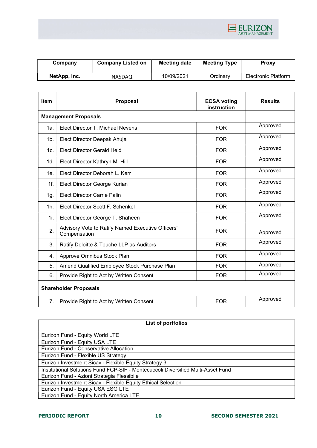

| Company      | <b>Company Listed on</b> | <b>Meeting date</b> | <b>Meeting Type</b> | <b>Proxy</b>               |
|--------------|--------------------------|---------------------|---------------------|----------------------------|
| NetApp, Inc. | <b>NASDAQ</b>            | 10/09/2021          | Ordinarv            | <b>Electronic Platform</b> |

| Item            | <b>Proposal</b>                                                                 | <b>ECSA voting</b><br>instruction | <b>Results</b> |
|-----------------|---------------------------------------------------------------------------------|-----------------------------------|----------------|
|                 | <b>Management Proposals</b>                                                     |                                   |                |
| 1a.             | Elect Director T. Michael Nevens                                                | <b>FOR</b>                        | Approved       |
| $1b$ .          | Elect Director Deepak Ahuja                                                     | <b>FOR</b>                        | Approved       |
| 1c.             | <b>Elect Director Gerald Held</b>                                               | <b>FOR</b>                        | Approved       |
| 1d.             | Elect Director Kathryn M. Hill                                                  | <b>FOR</b>                        | Approved       |
| 1e <sub>1</sub> | Elect Director Deborah L. Kerr<br><b>FOR</b>                                    |                                   | Approved       |
| 1f.             | <b>FOR</b><br>Elect Director George Kurian                                      |                                   | Approved       |
| 1g.             | <b>Elect Director Carrie Palin</b>                                              | <b>FOR</b>                        | Approved       |
| 1h.             | <b>FOR</b><br>Elect Director Scott F. Schenkel                                  |                                   | Approved       |
| 1i.             | <b>FOR</b><br>Elect Director George T. Shaheen                                  |                                   | Approved       |
| 2.              | Advisory Vote to Ratify Named Executive Officers'<br><b>FOR</b><br>Compensation |                                   | Approved       |
| 3.              | Ratify Deloitte & Touche LLP as Auditors                                        | <b>FOR</b>                        | Approved       |
| 4.              | Approve Omnibus Stock Plan<br><b>FOR</b>                                        |                                   | Approved       |
| 5.              | Amend Qualified Employee Stock Purchase Plan                                    |                                   | Approved       |
| 6.              | Provide Right to Act by Written Consent                                         | <b>FOR</b>                        | Approved       |
|                 | <b>Shareholder Proposals</b>                                                    |                                   |                |
| 7.              | Provide Right to Act by Written Consent                                         | <b>FOR</b>                        | Approved       |

| List of portfolios                                                               |  |  |  |
|----------------------------------------------------------------------------------|--|--|--|
| Eurizon Fund - Equity World LTE                                                  |  |  |  |
| Eurizon Fund - Equity USA LTE                                                    |  |  |  |
| Eurizon Fund - Conservative Allocation                                           |  |  |  |
| Eurizon Fund - Flexible US Strategy                                              |  |  |  |
| Eurizon Investment Sicav - Flexible Equity Strategy 3                            |  |  |  |
| Institutional Solutions Fund FCP-SIF - Montecuccoli Diversified Multi-Asset Fund |  |  |  |
| Eurizon Fund - Azioni Strategia Flessibile                                       |  |  |  |
| Eurizon Investment Sicav - Flexible Equity Ethical Selection                     |  |  |  |
| Eurizon Fund - Equity USA ESG LTE                                                |  |  |  |
| Eurizon Fund - Equity North America LTE                                          |  |  |  |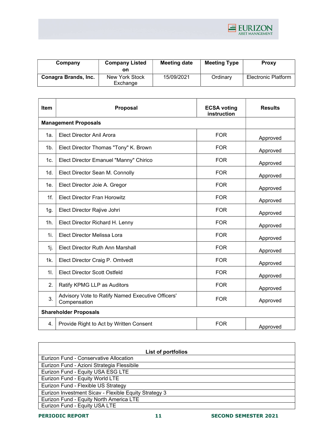

| Company              | <b>Company Listed</b><br>on | Meeting date | <b>Meeting Type</b> | <b>Proxy</b>               |
|----------------------|-----------------------------|--------------|---------------------|----------------------------|
| Conagra Brands, Inc. | New York Stock<br>Exchange  | 15/09/2021   | Ordinary            | <b>Electronic Platform</b> |

| Item                         | <b>Proposal</b>                                                   | <b>ECSA voting</b><br>instruction | <b>Results</b> |
|------------------------------|-------------------------------------------------------------------|-----------------------------------|----------------|
|                              | <b>Management Proposals</b>                                       |                                   |                |
| 1а.                          | Elect Director Anil Arora                                         | <b>FOR</b>                        | Approved       |
| 1b.                          | Elect Director Thomas "Tony" K. Brown                             | <b>FOR</b>                        | Approved       |
| 1c.                          | Elect Director Emanuel "Manny" Chirico                            | <b>FOR</b>                        | Approved       |
| 1d.                          | Elect Director Sean M. Connolly                                   | <b>FOR</b>                        | Approved       |
| 1e.                          | Elect Director Joie A. Gregor                                     | <b>FOR</b>                        | Approved       |
| $1f$ .                       | <b>Elect Director Fran Horowitz</b>                               | <b>FOR</b>                        | Approved       |
| 1g.                          | Elect Director Rajive Johri                                       | <b>FOR</b>                        | Approved       |
| 1h.                          | Elect Director Richard H. Lenny                                   | <b>FOR</b>                        | Approved       |
| 1i.                          | Elect Director Melissa Lora                                       | <b>FOR</b>                        | Approved       |
| 1j.                          | <b>Elect Director Ruth Ann Marshall</b>                           | <b>FOR</b>                        | Approved       |
| 1k.                          | Elect Director Craig P. Omtvedt                                   | <b>FOR</b>                        | Approved       |
| 11.                          | <b>Elect Director Scott Ostfeld</b>                               | <b>FOR</b>                        | Approved       |
| 2.                           | Ratify KPMG LLP as Auditors                                       | <b>FOR</b>                        | Approved       |
| 3.                           | Advisory Vote to Ratify Named Executive Officers'<br>Compensation | <b>FOR</b>                        | Approved       |
| <b>Shareholder Proposals</b> |                                                                   |                                   |                |
| 4.                           | Provide Right to Act by Written Consent                           | <b>FOR</b>                        | Approved       |

| List of portfolios                                    |  |  |  |
|-------------------------------------------------------|--|--|--|
| Eurizon Fund - Conservative Allocation                |  |  |  |
| Eurizon Fund - Azioni Strategia Flessibile            |  |  |  |
| Eurizon Fund - Equity USA ESG LTE                     |  |  |  |
| Eurizon Fund - Equity World LTE                       |  |  |  |
| Eurizon Fund - Flexible US Strategy                   |  |  |  |
| Eurizon Investment Sicav - Flexible Equity Strategy 3 |  |  |  |
| Eurizon Fund - Equity North America LTE               |  |  |  |
| Eurizon Fund - Equity USA LTE                         |  |  |  |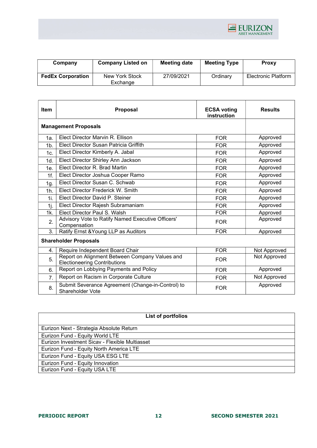

| Company                  | <b>Company Listed on</b> | Meeting date | <b>Meeting Type</b> | <b>Proxy</b>        |
|--------------------------|--------------------------|--------------|---------------------|---------------------|
| <b>FedEx Corporation</b> | New York Stock           | 27/09/2021   | Ordinary            | Electronic Platform |
|                          | Exchange                 |              |                     |                     |

| <b>Item</b>                 | <b>Proposal</b>                                                                       | <b>ECSA voting</b><br>instruction | <b>Results</b> |
|-----------------------------|---------------------------------------------------------------------------------------|-----------------------------------|----------------|
| <b>Management Proposals</b> |                                                                                       |                                   |                |
| 1a.                         | Elect Director Marvin R. Ellison                                                      | <b>FOR</b>                        | Approved       |
| 1 <sub>b</sub>              | Elect Director Susan Patricia Griffith                                                | <b>FOR</b>                        | Approved       |
| 1c.                         | Elect Director Kimberly A. Jabal                                                      | <b>FOR</b>                        | Approved       |
| 1d.                         | Elect Director Shirley Ann Jackson                                                    | <b>FOR</b>                        | Approved       |
| 1e                          | Elect Director R. Brad Martin                                                         | <b>FOR</b>                        | Approved       |
| 1f <sub>1</sub>             | Elect Director Joshua Cooper Ramo                                                     | <b>FOR</b>                        | Approved       |
| 1g.                         | Elect Director Susan C. Schwab                                                        | <b>FOR</b>                        | Approved       |
| $1h$ .                      | Elect Director Frederick W. Smith                                                     | <b>FOR</b>                        | Approved       |
| 1i.                         | Elect Director David P. Steiner                                                       | <b>FOR</b>                        | Approved       |
| 1j.                         | Elect Director Rajesh Subramaniam                                                     | <b>FOR</b>                        | Approved       |
| 1k.                         | Elect Director Paul S. Walsh                                                          | <b>FOR</b>                        | Approved       |
| 2.                          | Advisory Vote to Ratify Named Executive Officers'<br>Compensation                     | <b>FOR</b>                        | Approved       |
| 3.                          | Ratify Ernst & Young LLP as Auditors                                                  | <b>FOR</b>                        | Approved       |
|                             | <b>Shareholder Proposals</b>                                                          |                                   |                |
| 4.                          | Require Independent Board Chair                                                       | <b>FOR</b>                        | Not Approved   |
| 5.                          | Report on Alignment Between Company Values and<br><b>Electioneering Contributions</b> | <b>FOR</b>                        | Not Approved   |
| 6.                          | Report on Lobbying Payments and Policy                                                | <b>FOR</b>                        | Approved       |
| 7.                          | Report on Racism in Corporate Culture                                                 | <b>FOR</b>                        | Not Approved   |
| 8.                          | Submit Severance Agreement (Change-in-Control) to<br><b>Shareholder Vote</b>          | <b>FOR</b>                        | Approved       |

| List of portfolios                             |  |  |
|------------------------------------------------|--|--|
| Eurizon Next - Strategia Absolute Return       |  |  |
| Eurizon Fund - Equity World LTE                |  |  |
| Eurizon Investment Sicav - Flexible Multiasset |  |  |
| Eurizon Fund - Equity North America LTE        |  |  |
| Eurizon Fund - Equity USA ESG LTE              |  |  |
| Eurizon Fund - Equity Innovation               |  |  |
| Eurizon Fund - Equity USA LTE                  |  |  |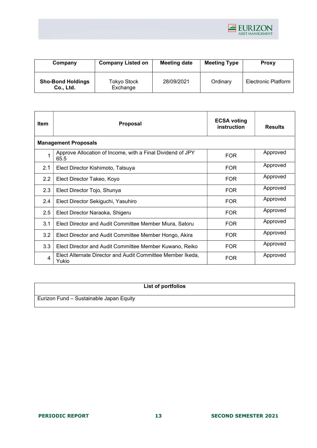

| Company                               | <b>Company Listed on</b> | <b>Meeting date</b> | <b>Meeting Type</b> | <b>Proxy</b>               |
|---------------------------------------|--------------------------|---------------------|---------------------|----------------------------|
| <b>Sho-Bond Holdings</b><br>Co., Ltd. | Tokyo Stock<br>Exchange  | 28/09/2021          | Ordinary            | <b>Electronic Platform</b> |

| Item | Proposal                                                            | <b>ECSA voting</b><br>instruction | <b>Results</b> |
|------|---------------------------------------------------------------------|-----------------------------------|----------------|
|      | <b>Management Proposals</b>                                         |                                   |                |
| 1    | Approve Allocation of Income, with a Final Dividend of JPY<br>65.5  | <b>FOR</b>                        | Approved       |
| 2.1  | Elect Director Kishimoto, Tatsuya                                   | <b>FOR</b>                        | Approved       |
| 2.2  | Elect Director Takeo, Koyo                                          | <b>FOR</b>                        | Approved       |
| 2.3  | Elect Director Tojo, Shunya                                         | <b>FOR</b>                        | Approved       |
| 2.4  | Elect Director Sekiguchi, Yasuhiro                                  | <b>FOR</b>                        | Approved       |
| 2.5  | Elect Director Naraoka, Shigeru                                     | <b>FOR</b>                        | Approved       |
| 3.1  | Elect Director and Audit Committee Member Miura, Satoru             | <b>FOR</b>                        | Approved       |
| 3.2  | Elect Director and Audit Committee Member Hongo, Akira              | <b>FOR</b>                        | Approved       |
| 3.3  | Elect Director and Audit Committee Member Kuwano, Reiko             | <b>FOR</b>                        | Approved       |
| 4    | Elect Alternate Director and Audit Committee Member Ikeda,<br>Yukio | <b>FOR</b>                        | Approved       |

|                                         | List of portfolios |
|-----------------------------------------|--------------------|
| Eurizon Fund - Sustainable Japan Equity |                    |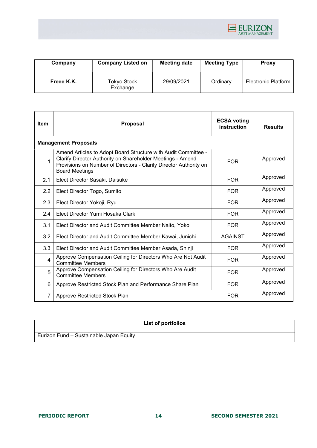

| Company    | <b>Company Listed on</b>       | <b>Meeting date</b> | <b>Meeting Type</b> | <b>Proxy</b>               |
|------------|--------------------------------|---------------------|---------------------|----------------------------|
| Freee K.K. | <b>Tokyo Stock</b><br>Exchange | 29/09/2021          | Ordinary            | <b>Electronic Platform</b> |

| <b>Item</b>    | <b>Proposal</b>                                                                                                                                                                                                            | <b>ECSA voting</b><br>instruction | <b>Results</b> |  |  |
|----------------|----------------------------------------------------------------------------------------------------------------------------------------------------------------------------------------------------------------------------|-----------------------------------|----------------|--|--|
|                | <b>Management Proposals</b>                                                                                                                                                                                                |                                   |                |  |  |
| $\mathbf{1}$   | Amend Articles to Adopt Board Structure with Audit Committee -<br>Clarify Director Authority on Shareholder Meetings - Amend<br>Provisions on Number of Directors - Clarify Director Authority on<br><b>Board Meetings</b> | <b>FOR</b>                        | Approved       |  |  |
| 2.1            | Elect Director Sasaki, Daisuke                                                                                                                                                                                             | <b>FOR</b>                        | Approved       |  |  |
| 2.2            | Elect Director Togo, Sumito                                                                                                                                                                                                | <b>FOR</b>                        | Approved       |  |  |
| 2.3            | Elect Director Yokoji, Ryu                                                                                                                                                                                                 | <b>FOR</b>                        | Approved       |  |  |
| 2.4            | Elect Director Yumi Hosaka Clark                                                                                                                                                                                           | <b>FOR</b>                        | Approved       |  |  |
| 3.1            | Elect Director and Audit Committee Member Naito, Yoko                                                                                                                                                                      | <b>FOR</b>                        | Approved       |  |  |
| 3.2            | Elect Director and Audit Committee Member Kawai, Junichi                                                                                                                                                                   | <b>AGAINST</b>                    | Approved       |  |  |
| 3.3            | Elect Director and Audit Committee Member Asada, Shinji                                                                                                                                                                    | <b>FOR</b>                        | Approved       |  |  |
| 4              | Approve Compensation Ceiling for Directors Who Are Not Audit<br><b>Committee Members</b>                                                                                                                                   | <b>FOR</b>                        | Approved       |  |  |
| 5              | Approve Compensation Ceiling for Directors Who Are Audit<br><b>Committee Members</b>                                                                                                                                       | <b>FOR</b>                        | Approved       |  |  |
| 6              | Approve Restricted Stock Plan and Performance Share Plan                                                                                                                                                                   | <b>FOR</b>                        | Approved       |  |  |
| $\overline{7}$ | Approve Restricted Stock Plan                                                                                                                                                                                              | <b>FOR</b>                        | Approved       |  |  |

# List of portfolios

Eurizon Fund – Sustainable Japan Equity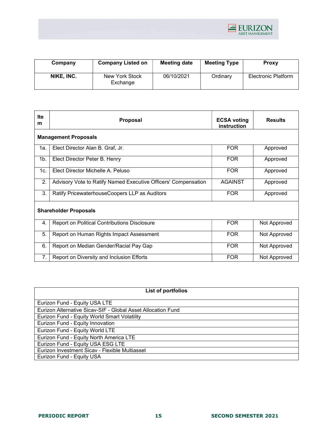

| Company    | <b>Company Listed on</b>   | Meeting date | <b>Meeting Type</b> | <b>Proxy</b>        |
|------------|----------------------------|--------------|---------------------|---------------------|
| NIKE, INC. | New York Stock<br>Exchange | 06/10/2021   | Ordinary            | Electronic Platform |

| Ite<br>m       | <b>Proposal</b>                                                | <b>ECSA voting</b><br>instruction | <b>Results</b> |  |  |
|----------------|----------------------------------------------------------------|-----------------------------------|----------------|--|--|
|                | <b>Management Proposals</b>                                    |                                   |                |  |  |
| 1a.            | Elect Director Alan B. Graf, Jr.                               | <b>FOR</b>                        | Approved       |  |  |
| 1 <sub>b</sub> | Elect Director Peter B. Henry                                  | <b>FOR</b>                        | Approved       |  |  |
| 1c.            | Elect Director Michelle A. Peluso                              | <b>FOR</b>                        | Approved       |  |  |
| 2.             | Advisory Vote to Ratify Named Executive Officers' Compensation | <b>AGAINST</b>                    | Approved       |  |  |
| 3.             | Ratify PricewaterhouseCoopers LLP as Auditors                  | <b>FOR</b>                        | Approved       |  |  |
|                | <b>Shareholder Proposals</b>                                   |                                   |                |  |  |
| 4.             | <b>Report on Political Contributions Disclosure</b>            | <b>FOR</b>                        | Not Approved   |  |  |
| 5.             | Report on Human Rights Impact Assessment                       | <b>FOR</b>                        | Not Approved   |  |  |
| 6.             | Report on Median Gender/Racial Pay Gap                         | <b>FOR</b>                        | Not Approved   |  |  |
| 7.             | Report on Diversity and Inclusion Efforts                      | <b>FOR</b>                        | Not Approved   |  |  |

| List of portfolios                                           |
|--------------------------------------------------------------|
| Eurizon Fund - Equity USA LTE                                |
| Eurizon Alternative Sicav-SIF - Global Asset Allocation Fund |
| Eurizon Fund - Equity World Smart Volatility                 |
| Eurizon Fund - Equity Innovation                             |
| Eurizon Fund - Equity World LTE                              |
| Eurizon Fund - Equity North America LTE                      |
| Eurizon Fund - Equity USA ESG LTE                            |
| Eurizon Investment Sicav - Flexible Multiasset               |
| Eurizon Fund - Equity USA                                    |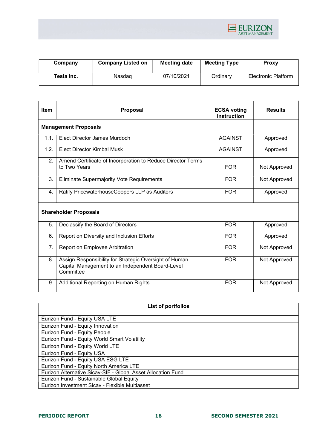

| Company    | <b>Company Listed on</b> | Meeting date | <b>Meeting Type</b> | Proxy               |
|------------|--------------------------|--------------|---------------------|---------------------|
| Tesla Inc. | Nasdaɑ                   | 07/10/2021   | Ordinarv            | Electronic Platform |

| <b>Item</b>                 | <b>Proposal</b>                                                                                                         | <b>ECSA voting</b><br>instruction | <b>Results</b> |
|-----------------------------|-------------------------------------------------------------------------------------------------------------------------|-----------------------------------|----------------|
| <b>Management Proposals</b> |                                                                                                                         |                                   |                |
| 1.1.                        | Elect Director James Murdoch                                                                                            | <b>AGAINST</b>                    | Approved       |
| 1.2.                        | Elect Director Kimbal Musk                                                                                              | <b>AGAINST</b>                    | Approved       |
| 2.                          | Amend Certificate of Incorporation to Reduce Director Terms<br>to Two Years                                             | <b>FOR</b>                        | Not Approved   |
| 3.                          | Eliminate Supermajority Vote Requirements                                                                               | <b>FOR</b>                        | Not Approved   |
| 4.                          | Ratify PricewaterhouseCoopers LLP as Auditors                                                                           | <b>FOR</b>                        | Approved       |
|                             | <b>Shareholder Proposals</b>                                                                                            |                                   |                |
| 5.                          | Declassify the Board of Directors                                                                                       | <b>FOR</b>                        | Approved       |
| 6.                          | Report on Diversity and Inclusion Efforts                                                                               | <b>FOR</b>                        | Approved       |
| 7.                          | Report on Employee Arbitration                                                                                          | <b>FOR</b>                        | Not Approved   |
| 8.                          | Assign Responsibility for Strategic Oversight of Human<br>Capital Management to an Independent Board-Level<br>Committee | <b>FOR</b>                        | Not Approved   |
| 9.                          | Additional Reporting on Human Rights                                                                                    | <b>FOR</b>                        | Not Approved   |

| List of portfolios                                           |
|--------------------------------------------------------------|
| Eurizon Fund - Equity USA LTE                                |
| Eurizon Fund - Equity Innovation                             |
| Eurizon Fund - Equity People                                 |
| Eurizon Fund - Equity World Smart Volatility                 |
| Eurizon Fund - Equity World LTE                              |
| Eurizon Fund - Equity USA                                    |
| Eurizon Fund - Equity USA ESG LTE                            |
| Eurizon Fund - Equity North America LTE                      |
| Eurizon Alternative Sicav-SIF - Global Asset Allocation Fund |
| Eurizon Fund - Sustainable Global Equity                     |
| Eurizon Investment Sicav - Flexible Multiasset               |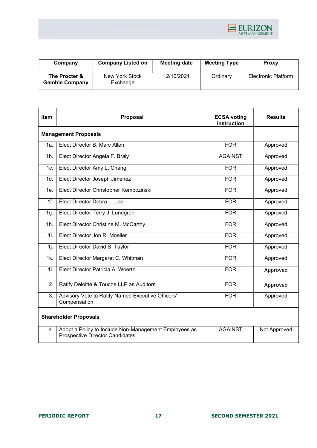

| Company                                | <b>Company Listed on</b>   | <b>Meeting date</b> | <b>Meeting Type</b> | <b>Proxy</b>        |
|----------------------------------------|----------------------------|---------------------|---------------------|---------------------|
| The Procter &<br><b>Gamble Company</b> | New York Stock<br>Exchange | 12/10/2021          | Ordinary            | Electronic Platform |

| Item                         | Proposal                                                                                        | <b>ECSA voting</b><br>instruction | <b>Results</b> |  |  |
|------------------------------|-------------------------------------------------------------------------------------------------|-----------------------------------|----------------|--|--|
|                              | <b>Management Proposals</b>                                                                     |                                   |                |  |  |
| 1а.                          | Elect Director B. Marc Allen                                                                    | <b>FOR</b>                        | Approved       |  |  |
| $1b$ .                       | Elect Director Angela F. Braly                                                                  | <b>AGAINST</b>                    | Approved       |  |  |
| 1c.                          | Elect Director Amy L. Chang                                                                     | <b>FOR</b>                        | Approved       |  |  |
| 1d.                          | Elect Director Joseph Jimenez                                                                   | <b>FOR</b>                        | Approved       |  |  |
| 1e.                          | Elect Director Christopher Kempczinski                                                          | <b>FOR</b>                        | Approved       |  |  |
| 1f                           | Elect Director Debra L. Lee                                                                     | <b>FOR</b>                        | Approved       |  |  |
| 1g.                          | Elect Director Terry J. Lundgren                                                                | <b>FOR</b>                        | Approved       |  |  |
| 1h.                          | Elect Director Christine M. McCarthy                                                            | <b>FOR</b>                        | Approved       |  |  |
| 1i                           | Elect Director Jon R. Moeller                                                                   | <b>FOR</b>                        | Approved       |  |  |
| 1j.                          | Elect Director David S. Taylor                                                                  | <b>FOR</b>                        | Approved       |  |  |
| 1k.                          | Elect Director Margaret C. Whitman                                                              | <b>FOR</b>                        | Approved       |  |  |
| 11.                          | Elect Director Patricia A. Woertz                                                               | <b>FOR</b>                        | Approved       |  |  |
| 2.                           | Ratify Deloitte & Touche LLP as Auditors                                                        | <b>FOR</b>                        | Approved       |  |  |
| 3 <sub>1</sub>               | Advisory Vote to Ratify Named Executive Officers'<br>Compensation                               | <b>FOR</b>                        | Approved       |  |  |
| <b>Shareholder Proposals</b> |                                                                                                 |                                   |                |  |  |
| $\overline{4}$ .             | Adopt a Policy to Include Non-Management Employees as<br><b>Prospective Director Candidates</b> | <b>AGAINST</b>                    | Not Approved   |  |  |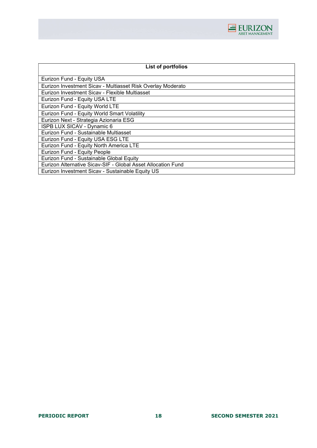

| List of portfolios                                           |
|--------------------------------------------------------------|
| Eurizon Fund - Equity USA                                    |
| Eurizon Investment Sicav - Multiasset Risk Overlay Moderato  |
| Eurizon Investment Sicav - Flexible Multiasset               |
| Eurizon Fund - Equity USA LTE                                |
| Eurizon Fund - Equity World LTE                              |
| Eurizon Fund - Equity World Smart Volatility                 |
| Eurizon Next - Strategia Azionaria ESG                       |
| <b>ISPB LUX SICAV - Dynamic 6</b>                            |
| Eurizon Fund - Sustainable Multiasset                        |
| Eurizon Fund - Equity USA ESG LTE                            |
| Eurizon Fund - Equity North America LTE                      |
| Eurizon Fund - Equity People                                 |
| Eurizon Fund - Sustainable Global Equity                     |
| Eurizon Alternative Sicav-SIF - Global Asset Allocation Fund |
| Eurizon Investment Sicav - Sustainable Equity US             |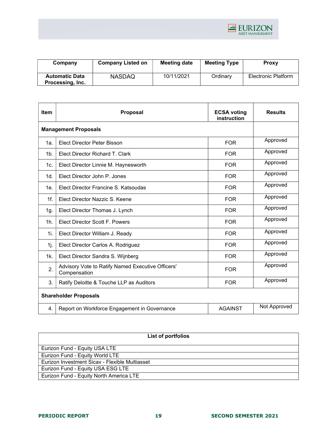

| Company               | <b>Company Listed on</b> | Meeting date | <b>Meeting Type</b> | <b>Proxy</b>               |
|-----------------------|--------------------------|--------------|---------------------|----------------------------|
| <b>Automatic Data</b> | <b>NASDAQ</b>            | 10/11/2021   | Ordinary            | <b>Electronic Platform</b> |
| Processing, Inc.      |                          |              |                     |                            |

| <b>Item</b>     | Proposal                                                          | <b>ECSA voting</b><br>instruction | <b>Results</b> |  |  |
|-----------------|-------------------------------------------------------------------|-----------------------------------|----------------|--|--|
|                 | <b>Management Proposals</b>                                       |                                   |                |  |  |
| 1a.             | Elect Director Peter Bisson                                       | <b>FOR</b>                        | Approved       |  |  |
| 1 <sub>b</sub>  | Elect Director Richard T. Clark                                   | <b>FOR</b>                        | Approved       |  |  |
| 1c.             | Elect Director Linnie M. Haynesworth                              | <b>FOR</b>                        | Approved       |  |  |
| 1d.             | Elect Director John P. Jones                                      | <b>FOR</b>                        | Approved       |  |  |
| 1e <sub>1</sub> | Elect Director Francine S. Katsoudas                              | <b>FOR</b>                        | Approved       |  |  |
| $1f$ .          | Elect Director Nazzic S. Keene                                    | <b>FOR</b>                        | Approved       |  |  |
| 1g.             | Elect Director Thomas J. Lynch                                    | <b>FOR</b>                        | Approved       |  |  |
| 1 <sub>h</sub>  | <b>Elect Director Scott F. Powers</b>                             | <b>FOR</b>                        | Approved       |  |  |
| 1i.             | Elect Director William J. Ready                                   | <b>FOR</b>                        | Approved       |  |  |
| 1j.             | Elect Director Carlos A. Rodriguez                                | <b>FOR</b>                        | Approved       |  |  |
| 1k.             | Elect Director Sandra S. Wijnberg                                 | <b>FOR</b>                        | Approved       |  |  |
| 2.              | Advisory Vote to Ratify Named Executive Officers'<br>Compensation | <b>FOR</b>                        | Approved       |  |  |
| 3.              | Ratify Deloitte & Touche LLP as Auditors                          | <b>FOR</b>                        | Approved       |  |  |
|                 | <b>Shareholder Proposals</b>                                      |                                   |                |  |  |
| 4.              | Report on Workforce Engagement in Governance                      | <b>AGAINST</b>                    | Not Approved   |  |  |

| List of portfolios                             |  |  |  |
|------------------------------------------------|--|--|--|
| Eurizon Fund - Equity USA LTE                  |  |  |  |
| Eurizon Fund - Equity World LTE                |  |  |  |
| Eurizon Investment Sicav - Flexible Multiasset |  |  |  |
| Eurizon Fund - Equity USA ESG LTE              |  |  |  |
| Eurizon Fund - Equity North America LTE        |  |  |  |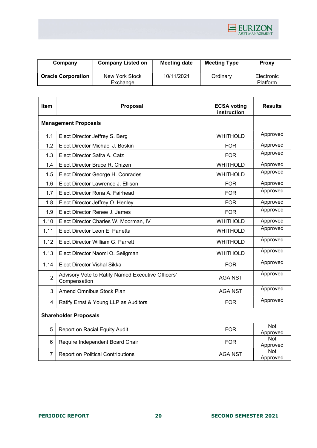

| Company                   | <b>Company Listed on</b> | <b>Meeting date</b> | <b>Meeting Type</b> | <b>Proxy</b>    |
|---------------------------|--------------------------|---------------------|---------------------|-----------------|
| <b>Oracle Corporation</b> | New York Stock           | 10/11/2021          | Ordinary            | Electronic      |
|                           | Exchange                 |                     |                     | <b>Platform</b> |

| Item                         | Proposal                                                          | <b>ECSA voting</b><br>instruction | <b>Results</b>         |  |
|------------------------------|-------------------------------------------------------------------|-----------------------------------|------------------------|--|
| <b>Management Proposals</b>  |                                                                   |                                   |                        |  |
| 1.1                          | Elect Director Jeffrey S. Berg                                    | <b>WHITHOLD</b>                   | Approved               |  |
| 1.2                          | Elect Director Michael J. Boskin                                  | <b>FOR</b>                        | Approved               |  |
| 1.3                          | Elect Director Safra A. Catz                                      | <b>FOR</b>                        | Approved               |  |
| 1.4                          | Elect Director Bruce R. Chizen                                    | <b>WHITHOLD</b>                   | Approved               |  |
| 1.5                          | Elect Director George H. Conrades                                 | <b>WHITHOLD</b>                   | Approved               |  |
| 1.6                          | Elect Director Lawrence J. Ellison                                | <b>FOR</b>                        | Approved               |  |
| 1.7                          | Elect Director Rona A. Fairhead                                   | <b>FOR</b>                        | Approved               |  |
| 1.8                          | Elect Director Jeffrey O. Henley                                  | <b>FOR</b>                        | Approved               |  |
| 1.9                          | Elect Director Renee J. James                                     | <b>FOR</b>                        | Approved               |  |
| 1.10                         | Elect Director Charles W. Moorman, IV                             | <b>WHITHOLD</b>                   | Approved               |  |
| 1.11                         | Elect Director Leon E. Panetta                                    | <b>WHITHOLD</b>                   | Approved               |  |
| 1.12                         | Elect Director William G. Parrett                                 | <b>WHITHOLD</b>                   | Approved               |  |
| 1.13                         | Elect Director Naomi O. Seligman                                  | <b>WHITHOLD</b>                   | Approved               |  |
| 1.14                         | <b>Elect Director Vishal Sikka</b>                                | <b>FOR</b>                        | Approved               |  |
| $\overline{2}$               | Advisory Vote to Ratify Named Executive Officers'<br>Compensation | <b>AGAINST</b>                    | Approved               |  |
| 3                            | Amend Omnibus Stock Plan                                          | <b>AGAINST</b>                    | Approved               |  |
| 4                            | Ratify Ernst & Young LLP as Auditors                              | <b>FOR</b>                        | Approved               |  |
| <b>Shareholder Proposals</b> |                                                                   |                                   |                        |  |
| 5                            | Report on Racial Equity Audit                                     | <b>FOR</b>                        | Not<br>Approved        |  |
| 6                            | Require Independent Board Chair                                   | <b>FOR</b>                        | <b>Not</b><br>Approved |  |
| $\overline{7}$               | <b>Report on Political Contributions</b>                          | <b>AGAINST</b>                    | Not<br>Approved        |  |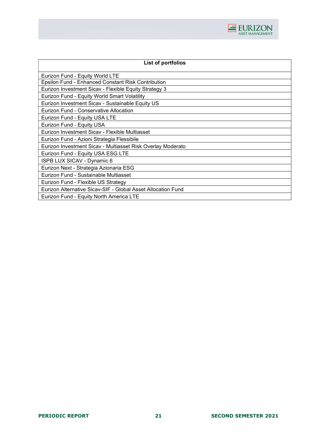

| List of portfolios                                           |
|--------------------------------------------------------------|
| Eurizon Fund - Equity World LTE                              |
| Epsilon Fund - Enhanced Constant Risk Contribution           |
| Eurizon Investment Sicav - Flexible Equity Strategy 3        |
| Eurizon Fund - Equity World Smart Volatility                 |
| Eurizon Investment Sicav - Sustainable Equity US             |
| Eurizon Fund - Conservative Allocation                       |
| Eurizon Fund - Equity USA LTE                                |
| Eurizon Fund - Equity USA                                    |
| Eurizon Investment Sicav - Flexible Multiasset               |
| Eurizon Fund - Azioni Strategia Flessibile                   |
| Eurizon Investment Sicav - Multiasset Risk Overlay Moderato  |
| Eurizon Fund - Equity USA ESG LTE                            |
| ISPB LUX SICAV - Dynamic 6                                   |
| Eurizon Next - Strategia Azionaria ESG                       |
| Eurizon Fund - Sustainable Multiasset                        |
| Eurizon Fund - Flexible US Strategy                          |
| Eurizon Alternative Sicav-SIF - Global Asset Allocation Fund |
| Eurizon Fund - Equity North America LTE                      |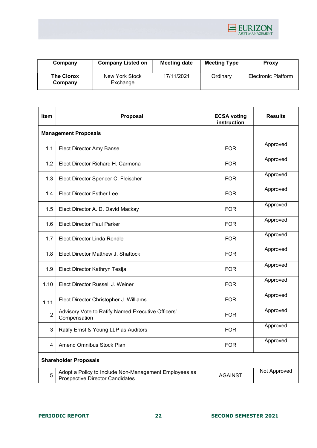

| Company                      | <b>Company Listed on</b>   | <b>Meeting date</b> | <b>Meeting Type</b> | <b>Proxy</b>               |
|------------------------------|----------------------------|---------------------|---------------------|----------------------------|
| <b>The Clorox</b><br>Company | New York Stock<br>Exchange | 17/11/2021          | Ordinary            | <b>Electronic Platform</b> |

| <b>Item</b>                  | Proposal                                                                                        | <b>ECSA voting</b><br>instruction | <b>Results</b> |  |
|------------------------------|-------------------------------------------------------------------------------------------------|-----------------------------------|----------------|--|
| <b>Management Proposals</b>  |                                                                                                 |                                   |                |  |
| 1.1                          | <b>Elect Director Amy Banse</b>                                                                 | <b>FOR</b>                        | Approved       |  |
| 1.2                          | Elect Director Richard H. Carmona                                                               | <b>FOR</b>                        | Approved       |  |
| 1.3                          | Elect Director Spencer C. Fleischer                                                             | <b>FOR</b>                        | Approved       |  |
| 1.4                          | <b>Elect Director Esther Lee</b>                                                                | <b>FOR</b>                        | Approved       |  |
| $1.5\,$                      | Elect Director A. D. David Mackay                                                               | <b>FOR</b>                        | Approved       |  |
| 1.6                          | <b>Elect Director Paul Parker</b>                                                               | <b>FOR</b>                        | Approved       |  |
| 1.7                          | Elect Director Linda Rendle                                                                     | <b>FOR</b>                        | Approved       |  |
| 1.8                          | Elect Director Matthew J. Shattock                                                              | <b>FOR</b>                        | Approved       |  |
| 1.9                          | Elect Director Kathryn Tesija                                                                   | <b>FOR</b>                        | Approved       |  |
| 1.10                         | Elect Director Russell J. Weiner                                                                | <b>FOR</b>                        | Approved       |  |
| 1.11                         | Elect Director Christopher J. Williams                                                          | <b>FOR</b>                        | Approved       |  |
| $\overline{2}$               | Advisory Vote to Ratify Named Executive Officers'<br>Compensation                               | <b>FOR</b>                        | Approved       |  |
| 3                            | Ratify Ernst & Young LLP as Auditors                                                            | <b>FOR</b>                        | Approved       |  |
| 4                            | <b>Amend Omnibus Stock Plan</b>                                                                 | <b>FOR</b>                        | Approved       |  |
| <b>Shareholder Proposals</b> |                                                                                                 |                                   |                |  |
| 5                            | Adopt a Policy to Include Non-Management Employees as<br><b>Prospective Director Candidates</b> | <b>AGAINST</b>                    | Not Approved   |  |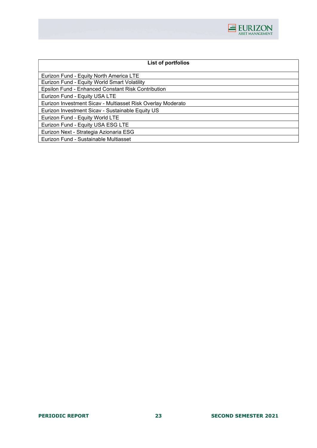

| List of portfolios                                          |
|-------------------------------------------------------------|
| Eurizon Fund - Equity North America LTE                     |
| Eurizon Fund - Equity World Smart Volatility                |
| Epsilon Fund - Enhanced Constant Risk Contribution          |
| Eurizon Fund - Equity USA LTE                               |
| Eurizon Investment Sicav - Multiasset Risk Overlay Moderato |
| Eurizon Investment Sicav - Sustainable Equity US            |
| Eurizon Fund - Equity World LTE                             |
| Eurizon Fund - Equity USA ESG LTE                           |
| Eurizon Next - Strategia Azionaria ESG                      |
| Eurizon Fund - Sustainable Multiasset                       |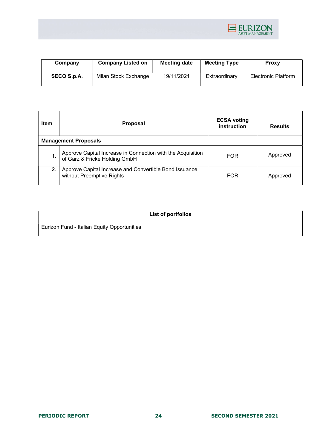

| Company     | <b>Company Listed on</b> | Meeting date | <b>Meeting Type</b> | <b>Proxy</b>        |
|-------------|--------------------------|--------------|---------------------|---------------------|
| SECO S.p.A. | Milan Stock Exchange     | 19/11/2021   | Extraordinary       | Electronic Platform |

| Item | <b>Proposal</b>                                                                              | <b>ECSA voting</b><br>instruction | <b>Results</b> |
|------|----------------------------------------------------------------------------------------------|-----------------------------------|----------------|
|      | <b>Management Proposals</b>                                                                  |                                   |                |
|      | Approve Capital Increase in Connection with the Acquisition<br>of Garz & Fricke Holding GmbH | <b>FOR</b>                        | Approved       |
| 2.   | Approve Capital Increase and Convertible Bond Issuance<br>without Preemptive Rights          | <b>FOR</b>                        | Approved       |

|                                             | List of portfolios |
|---------------------------------------------|--------------------|
| Eurizon Fund - Italian Equity Opportunities |                    |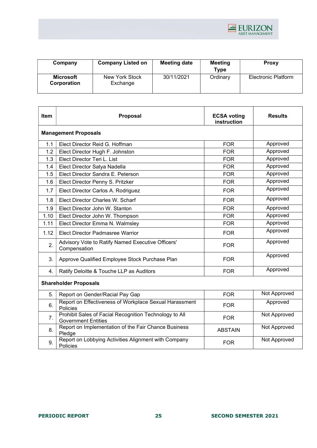

| Company                  | <b>Company Listed on</b>   | <b>Meeting date</b> | <b>Meeting</b><br><b>Type</b> | Proxy                      |
|--------------------------|----------------------------|---------------------|-------------------------------|----------------------------|
| Microsoft<br>Corporation | New York Stock<br>Exchange | 30/11/2021          | Ordinary                      | <b>Electronic Platform</b> |

| Item | Proposal                                                                             | <b>ECSA voting</b><br>instruction | <b>Results</b> |
|------|--------------------------------------------------------------------------------------|-----------------------------------|----------------|
|      | <b>Management Proposals</b>                                                          |                                   |                |
| 1.1  | Elect Director Reid G. Hoffman                                                       | <b>FOR</b>                        | Approved       |
| 1.2  | Elect Director Hugh F. Johnston                                                      | <b>FOR</b>                        | Approved       |
| 1.3  | Elect Director Teri L. List                                                          | <b>FOR</b>                        | Approved       |
| 1.4  | Elect Director Satya Nadella                                                         | <b>FOR</b>                        | Approved       |
| 1.5  | Elect Director Sandra E. Peterson                                                    | <b>FOR</b>                        | Approved       |
| 1.6  | Elect Director Penny S. Pritzker                                                     | <b>FOR</b>                        | Approved       |
| 1.7  | Elect Director Carlos A. Rodriguez                                                   | <b>FOR</b>                        | Approved       |
| 1.8  | Elect Director Charles W. Scharf                                                     | <b>FOR</b>                        | Approved       |
| 1.9  | Elect Director John W. Stanton                                                       | <b>FOR</b>                        | Approved       |
| 1.10 | Elect Director John W. Thompson                                                      | <b>FOR</b>                        | Approved       |
| 1.11 | Elect Director Emma N. Walmsley                                                      | <b>FOR</b>                        | Approved       |
| 1.12 | <b>Elect Director Padmasree Warrior</b>                                              | <b>FOR</b>                        | Approved       |
| 2.   | Advisory Vote to Ratify Named Executive Officers'<br>Compensation                    | <b>FOR</b>                        | Approved       |
| 3.   | Approve Qualified Employee Stock Purchase Plan                                       | <b>FOR</b>                        | Approved       |
| 4.   | Ratify Deloitte & Touche LLP as Auditors                                             | <b>FOR</b>                        | Approved       |
|      | <b>Shareholder Proposals</b>                                                         |                                   |                |
| 5.   | Report on Gender/Racial Pay Gap                                                      | <b>FOR</b>                        | Not Approved   |
| 6.   | Report on Effectiveness of Workplace Sexual Harassment<br>Policies                   | <b>FOR</b>                        | Approved       |
| 7.   | Prohibit Sales of Facial Recognition Technology to All<br><b>Government Entities</b> | <b>FOR</b>                        | Not Approved   |
| 8.   | Report on Implementation of the Fair Chance Business<br>Pledge                       | <b>ABSTAIN</b>                    | Not Approved   |
| 9.   | Report on Lobbying Activities Alignment with Company<br>Policies                     | <b>FOR</b>                        | Not Approved   |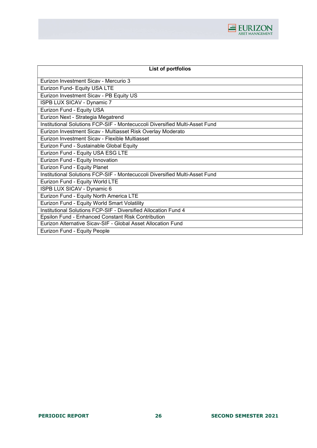

| List of portfolios                                                          |
|-----------------------------------------------------------------------------|
| Eurizon Investment Sicay - Mercurio 3                                       |
| Eurizon Fund- Equity USA LTE                                                |
| Eurizon Investment Sicav - PB Equity US                                     |
| ISPB LUX SICAV - Dynamic 7                                                  |
| Eurizon Fund - Equity USA                                                   |
| Eurizon Next - Strategia Megatrend                                          |
| Institutional Solutions FCP-SIF - Montecuccoli Diversified Multi-Asset Fund |
| Eurizon Investment Sicav - Multiasset Risk Overlay Moderato                 |
| Eurizon Investment Sicav - Flexible Multiasset                              |
| Eurizon Fund - Sustainable Global Equity                                    |
| Eurizon Fund - Equity USA ESG LTE                                           |
| Eurizon Fund - Equity Innovation                                            |
| Eurizon Fund - Equity Planet                                                |
| Institutional Solutions FCP-SIF - Montecuccoli Diversified Multi-Asset Fund |
| Eurizon Fund - Equity World LTE                                             |
| ISPB LUX SICAV - Dynamic 6                                                  |
| Eurizon Fund - Equity North America LTE                                     |
| Eurizon Fund - Equity World Smart Volatility                                |
| Institutional Solutions FCP-SIF - Diversified Allocation Fund 4             |
| Epsilon Fund - Enhanced Constant Risk Contribution                          |
| Eurizon Alternative Sicav-SIF - Global Asset Allocation Fund                |
| Eurizon Fund - Equity People                                                |